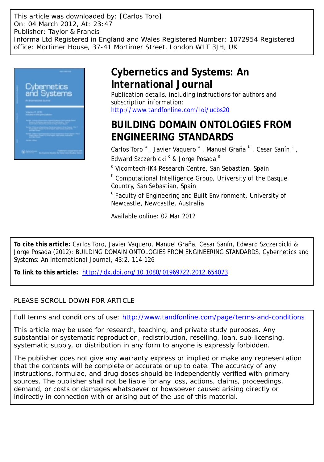This article was downloaded by: [Carlos Toro] On: 04 March 2012, At: 23:47 Publisher: Taylor & Francis Informa Ltd Registered in England and Wales Registered Number: 1072954 Registered office: Mortimer House, 37-41 Mortimer Street, London W1T 3JH, UK



# **Cybernetics and Systems: An International Journal**

Publication details, including instructions for authors and subscription information: <http://www.tandfonline.com/loi/ucbs20>

# **BUILDING DOMAIN ONTOLOGIES FROM ENGINEERING STANDARDS**

Carlos Toro<sup>a</sup>, Javier Vaquero<sup>a</sup>, Manuel Graña<sup>b</sup>, Cesar Sanín<sup>c</sup>, Edward Szczerbicki <sup>c</sup> & Jorge Posada<sup>a</sup>

<sup>a</sup> Vicomtech-IK4 Research Centre, San Sebastian, Spain

**b Computational Intelligence Group, University of the Basque** Country, San Sebastian, Spain

<sup>c</sup> Faculty of Engineering and Built Environment, University of Newcastle, Newcastle, Australia

Available online: 02 Mar 2012

**To cite this article:** Carlos Toro, Javier Vaquero, Manuel Graña, Cesar Sanín, Edward Szczerbicki & Jorge Posada (2012): BUILDING DOMAIN ONTOLOGIES FROM ENGINEERING STANDARDS, Cybernetics and Systems: An International Journal, 43:2, 114-126

**To link to this article:** <http://dx.doi.org/10.1080/01969722.2012.654073>

# PLEASE SCROLL DOWN FOR ARTICLE

Full terms and conditions of use:<http://www.tandfonline.com/page/terms-and-conditions>

This article may be used for research, teaching, and private study purposes. Any substantial or systematic reproduction, redistribution, reselling, loan, sub-licensing, systematic supply, or distribution in any form to anyone is expressly forbidden.

The publisher does not give any warranty express or implied or make any representation that the contents will be complete or accurate or up to date. The accuracy of any instructions, formulae, and drug doses should be independently verified with primary sources. The publisher shall not be liable for any loss, actions, claims, proceedings, demand, or costs or damages whatsoever or howsoever caused arising directly or indirectly in connection with or arising out of the use of this material.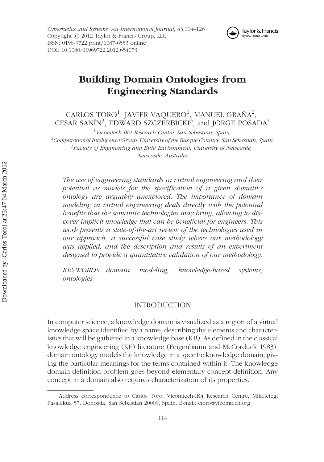

Cybernetics and Systems: An International Journal, 43:114–126 Copyright  $\odot$  2012 Taylor & Francis Group, LLC ISSN: 0196-9722 print/1087-6553 online DOI: 10.1080/01969722.2012.654073

# Building Domain Ontologies from Engineering Standards

CARLOS TORO<sup>1</sup>, JAVIER VAQUERO<sup>1</sup>, MANUEL GRAÑA<sup>2</sup>, CESAR SANÍN<sup>3</sup>, EDWARD SZCZERBICKI<sup>3</sup>, and JORGE POSADA<sup>1</sup>

<sup>1</sup>Vicomtech-IK4 Research Centre, San Sebastian, Spain  $\rm ^2$ Computational Intelligence Group, University of the Basque Country, San Sebastian, Spain  $3$ Faculty of Engineering and Built Environment, University of Newcastle, Newcastle, Australia

The use of engineering standards in virtual engineering and their potential as models for the specification of a given domain's ontology are arguably unexplored. The importance of domain modeling in virtual engineering deals directly with the potential benefits that the semantic technologies may bring, allowing to discover implicit knowledge that can be beneficial for engineers. This work presents a state-of-the-art review of the technologies used in our approach, a successful case study where our methodology was applied, and the description and results of an experiment designed to provide a quantitative validation of our methodology.

KEYWORDS domain modeling, knowledge-based systems, ontologies

#### INTRODUCTION

In computer science, a knowledge domain is visualized as a region of a virtual knowledge space identified by a name, describing the elements and characteristics that will be gathered in a knowledge base (KB). As defined in the classical knowledge engineering (KE) literature (Feigenbaum and McCorduck 1983), domain ontology models the knowledge in a specific knowledge domain, giving the particular meanings for the terms contained within it. The knowledge domain definition problem goes beyond elementary concept definition. Any concept in a domain also requires characterization of its properties.

Address correspondence to Carlos Toro, Vicomtech-IK4 Research Centre, Mikeletegi Pasalekua 57, Donostia, San Sebastian 20009, Spain. E-mail: ctoro@vicomtech.org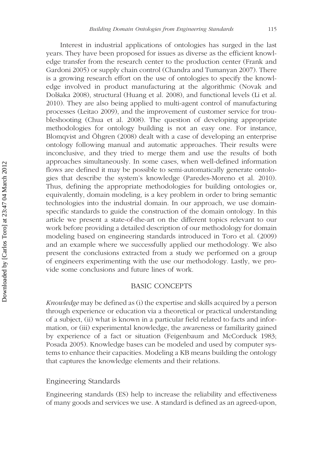Interest in industrial applications of ontologies has surged in the last years. They have been proposed for issues as diverse as the efficient knowledge transfer from the research center to the production center (Frank and Gardoni 2005) or supply chain control (Chandra and Tumanyan 2007). There is a growing research effort on the use of ontologies to specify the knowledge involved in product manufacturing at the algorithmic (Novak and Dolsaka 2008), structural (Huang et al. 2008), and functional levels (Li et al. 2010). They are also being applied to multi-agent control of manufacturing processes (Leitao 2009), and the improvement of customer service for troubleshooting (Chua et al. 2008). The question of developing appropriate methodologies for ontology building is not an easy one. For instance, Blomqvist and Öhgren (2008) dealt with a case of developing an enterprise ontology following manual and automatic approaches. Their results were inconclusive, and they tried to merge them and use the results of both approaches simultaneously. In some cases, when well-defined information flows are defined it may be possible to semi-automatically generate ontologies that describe the system's knowledge (Paredes-Moreno et al. 2010). Thus, defining the appropriate methodologies for building ontologies or, equivalently, domain modeling, is a key problem in order to bring semantic technologies into the industrial domain. In our approach, we use domainspecific standards to guide the construction of the domain ontology. In this article we present a state-of-the-art on the different topics relevant to our work before providing a detailed description of our methodology for domain modeling based on engineering standards introduced in Toro et al. (2009) and an example where we successfully applied our methodology. We also present the conclusions extracted from a study we performed on a group of engineers experimenting with the use our methodology. Lastly, we provide some conclusions and future lines of work.

#### BASIC CONCEPTS

Knowledge may be defined as (i) the expertise and skills acquired by a person through experience or education via a theoretical or practical understanding of a subject, (ii) what is known in a particular field related to facts and information, or (iii) experimental knowledge, the awareness or familiarity gained by experience of a fact or situation (Feigenbaum and McCorduck 1983; Posada 2005). Knowledge bases can be modeled and used by computer systems to enhance their capacities. Modeling a KB means building the ontology that captures the knowledge elements and their relations.

#### Engineering Standards

Engineering standards (ES) help to increase the reliability and effectiveness of many goods and services we use. A standard is defined as an agreed-upon,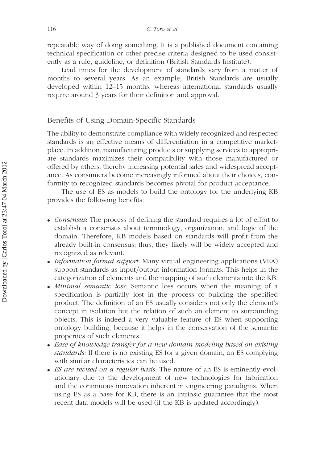repeatable way of doing something. It is a published document containing technical specification or other precise criteria designed to be used consistently as a rule, guideline, or definition (British Standards Institute).

Lead times for the development of standards vary from a matter of months to several years. As an example, British Standards are usually developed within 12–15 months, whereas international standards usually require around 3 years for their definition and approval.

### Benefits of Using Domain-Specific Standards

The ability to demonstrate compliance with widely recognized and respected standards is an effective means of differentiation in a competitive marketplace. In addition, manufacturing products or supplying services to appropriate standards maximizes their compatibility with those manufactured or offered by others, thereby increasing potential sales and widespread acceptance. As consumers become increasingly informed about their choices, conformity to recognized standards becomes pivotal for product acceptance.

The use of ES as models to build the ontology for the underlying KB provides the following benefits:

- . Consensus: The process of defining the standard requires a lot of effort to establish a consensus about terminology, organization, and logic of the domain. Therefore, KB models based on standards will profit from the already built-in consensus; thus, they likely will be widely accepted and recognized as relevant.
- . Information format support: Many virtual engineering applications (VEA) support standards as input/output information formats. This helps in the categorization of elements and the mapping of such elements into the KB.
- . Minimal semantic loss: Semantic loss occurs when the meaning of a specification is partially lost in the process of building the specified product. The definition of an ES usually considers not only the element's concept in isolation but the relation of such an element to surrounding objects. This is indeed a very valuable feature of ES when supporting ontology building, because it helps in the conservation of the semantic properties of such elements.
- . Ease of knowledge transfer for a new domain modeling based on existing standards: If there is no existing ES for a given domain, an ES complying with similar characteristics can be used.
- ES are revised on a regular basis: The nature of an ES is eminently evolutionary due to the development of new technologies for fabrication and the continuous innovation inherent in engineering paradigms. When using ES as a base for KB, there is an intrinsic guarantee that the most recent data models will be used (if the KB is updated accordingly).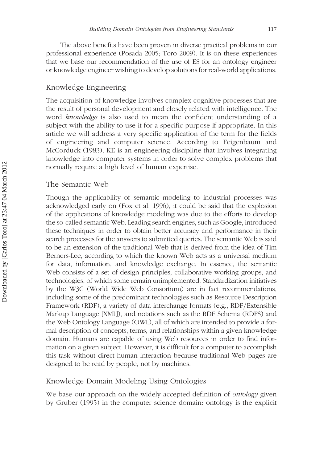The above benefits have been proven in diverse practical problems in our professional experience (Posada 2005; Toro 2009). It is on these experiences that we base our recommendation of the use of ES for an ontology engineer or knowledge engineer wishing to develop solutions for real-world applications.

#### Knowledge Engineering

The acquisition of knowledge involves complex cognitive processes that are the result of personal development and closely related with intelligence. The word *knowledge* is also used to mean the confident understanding of a subject with the ability to use it for a specific purpose if appropriate. In this article we will address a very specific application of the term for the fields of engineering and computer science. According to Feigenbaum and McCorduck (1983), KE is an engineering discipline that involves integrating knowledge into computer systems in order to solve complex problems that normally require a high level of human expertise.

#### The Semantic Web

Though the applicability of semantic modeling to industrial processes was acknowledged early on (Fox et al. 1996), it could be said that the explosion of the applications of knowledge modeling was due to the efforts to develop the so-called semantic Web. Leading search engines, such as Google, introduced these techniques in order to obtain better accuracy and performance in their search processes for the answers to submitted queries. The semantic Web is said to be an extension of the traditional Web that is derived from the idea of Tim Berners-Lee, according to which the known Web acts as a universal medium for data, information, and knowledge exchange. In essence, the semantic Web consists of a set of design principles, collaborative working groups, and technologies, of which some remain unimplemented. Standardization initiatives by the W3C (World Wide Web Consortium) are in fact recommendations, including some of the predominant technologies such as Resource Description Framework (RDF), a variety of data interchange formats (e.g.,  $RDF/Extensible$ Markup Language [XML]), and notations such as the RDF Schema (RDFS) and the Web Ontology Language (OWL), all of which are intended to provide a formal description of concepts, terms, and relationships within a given knowledge domain. Humans are capable of using Web resources in order to find information on a given subject. However, it is difficult for a computer to accomplish this task without direct human interaction because traditional Web pages are designed to be read by people, not by machines.

#### Knowledge Domain Modeling Using Ontologies

We base our approach on the widely accepted definition of *ontology* given by Gruber (1995) in the computer science domain: ontology is the explicit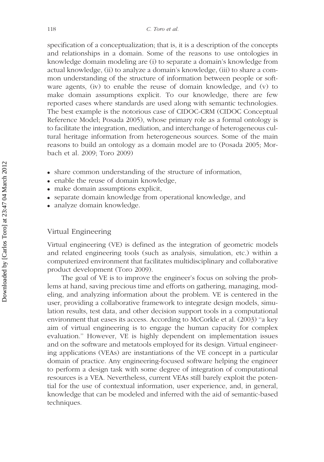specification of a conceptualization; that is, it is a description of the concepts and relationships in a domain. Some of the reasons to use ontologies in knowledge domain modeling are (i) to separate a domain's knowledge from actual knowledge, (ii) to analyze a domain's knowledge, (iii) to share a common understanding of the structure of information between people or software agents, (iv) to enable the reuse of domain knowledge, and (v) to make domain assumptions explicit. To our knowledge, there are few reported cases where standards are used along with semantic technologies. The best example is the notorious case of CIDOC-CRM (CIDOC Conceptual Reference Model; Posada 2005), whose primary role as a formal ontology is to facilitate the integration, mediation, and interchange of heterogeneous cultural heritage information from heterogeneous sources. Some of the main reasons to build an ontology as a domain model are to (Posada 2005; Morbach et al. 2009; Toro 2009)

- . share common understanding of the structure of information,
- . enable the reuse of domain knowledge,
- . make domain assumptions explicit,
- . separate domain knowledge from operational knowledge, and
- . analyze domain knowledge.

#### Virtual Engineering

Virtual engineering (VE) is defined as the integration of geometric models and related engineering tools (such as analysis, simulation, etc.) within a computerized environment that facilitates multidisciplinary and collaborative product development (Toro 2009).

The goal of VE is to improve the engineer's focus on solving the problems at hand, saving precious time and efforts on gathering, managing, modeling, and analyzing information about the problem. VE is centered in the user, providing a collaborative framework to integrate design models, simulation results, test data, and other decision support tools in a computational environment that eases its access. According to McCorkle et al. (2003) ''a key aim of virtual engineering is to engage the human capacity for complex evaluation.'' However, VE is highly dependent on implementation issues and on the software and metatools employed for its design. Virtual engineering applications (VEAs) are instantiations of the VE concept in a particular domain of practice. Any engineering-focused software helping the engineer to perform a design task with some degree of integration of computational resources is a VEA. Nevertheless, current VEAs still barely exploit the potential for the use of contextual information, user experience, and, in general, knowledge that can be modeled and inferred with the aid of semantic-based techniques.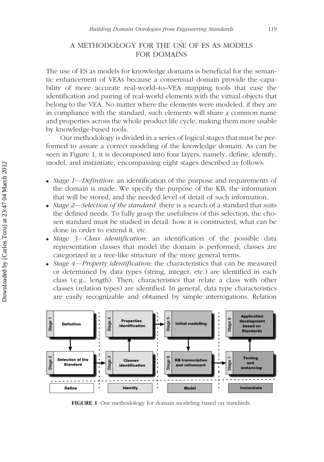## A METHODOLOGY FOR THE USE OF ES AS MODELS FOR DOMAINS

The use of ES as models for knowledge domains is beneficial for the semantic enhancement of VEAs because a consensual domain provide the capability of more accurate real-world–to–VEA mapping tools that ease the identification and pairing of real-world elements with the virtual objects that belong to the VEA. No matter where the elements were modeled, if they are in compliance with the standard, such elements will share a common name and properties across the whole product life cycle, making them more usable by knowledge-based tools.

Our methodology is divided in a series of logical stages that must be performed to assure a correct modeling of the knowledge domain. As can be seen in Figure 1, it is decomposed into four layers, namely, define, identify, model, and instantiate, encompassing eight stages described as follows:

- Stage 1—Definition: an identification of the purpose and requirements of the domain is made. We specify the purpose of the KB, the information that will be stored, and the needed level of detail of such information.
- Stage 2—Selection of the standard: there is a search of a standard that suits the defined needs. To fully grasp the usefulness of this selection, the chosen standard must be studied in detail: how it is constructed, what can be done in order to extend it, etc.
- . Stage 3—Class identification: an identification of the possible data representation classes that model the domain is performed; classes are categorized in a tree-like structure of the more general terms.
- Stage 4—Property identification: the characteristics that can be measured or determined by data types (string, integer, etc.) are identified in each class (e.g., length). Then, characteristics that relate a class with other classes (relation types) are identified. In general, data type characteristics are easily recognizable and obtained by simple interrogations. Relation



FIGURE 1 Our methodology for domain modeling based on standards.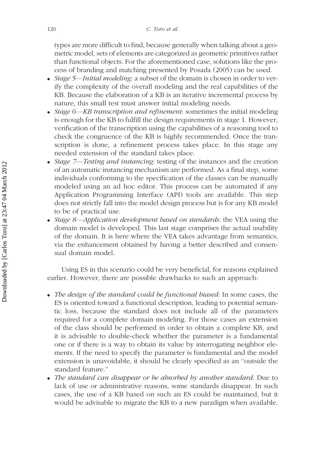types are more difficult to find, because generally when talking about a geometric model, sets of elements are categorized as geometric primitives rather than functional objects. For the aforementioned case, solutions like the process of branding and matching presented by Posada (2005) can be used.

- . Stage 5—Initial modeling: a subset of the domain is chosen in order to verify the complexity of the overall modeling and the real capabilities of the KB. Because the elaboration of a KB is an iterative incremental process by nature, this small test must answer initial modeling needs.
- . Stage 6—KB transcription and refinement: sometimes the initial modeling is enough for the KB to fulfill the design requirements in stage 1. However, verification of the transcription using the capabilities of a reasoning tool to check the congruence of the KB is highly recommended. Once the transcription is done, a refinement process takes place. In this stage any needed extension of the standard takes place.
- . Stage 7—Testing and instancing: testing of the instances and the creation of an automatic instancing mechanism are performed. As a final step, some individuals conforming to the specification of the classes can be manually modeled using an ad hoc editor. This process can be automated if any Application Programming Interface (API) tools are available. This step does not strictly fall into the model design process but is for any KB model to be of practical use.
- . Stage 8—Application development based on standards: the VEA using the domain model is developed. This last stage comprises the actual usability of the domain. It is here where the VEA takes advantage from semantics, via the enhancement obtained by having a better described and consensual domain model.

Using ES in this scenario could be very beneficial, for reasons explained earlier. However, there are possible drawbacks to such an approach:

- . The design of the standard could be functional biased: In some cases, the ES is oriented toward a functional description, leading to potential semantic loss, because the standard does not include all of the parameters required for a complete domain modeling. For those cases an extension of the class should be performed in order to obtain a complete KB, and it is advisable to double-check whether the parameter is a fundamental one or if there is a way to obtain its value by interrogating neighbor elements. If the need to specify the parameter is fundamental and the model extension is unavoidable, it should be clearly specified as an ''outside the standard feature.''
- . The standard can disappear or be absorbed by another standard: Due to lack of use or administrative reasons, some standards disappear. In such cases, the use of a KB based on such an ES could be maintained, but it would be advisable to migrate the KB to a new paradigm when available.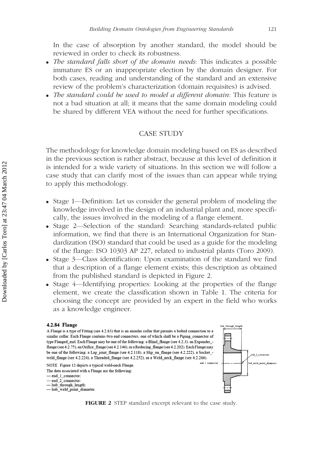In the case of absorption by another standard, the model should be reviewed in order to check its robustness.

- . The standard falls short of the domain needs: This indicates a possible immature ES or an inappropriate election by the domain designer. For both cases, reading and understanding of the standard and an extensive review of the problem's characterization (domain requisites) is advised.
- The standard could be used to model a different domain: This feature is not a bad situation at all; it means that the same domain modeling could be shared by different VEA without the need for further specifications.

### CASE STUDY

The methodology for knowledge domain modeling based on ES as described in the previous section is rather abstract, because at this level of definition it is intended for a wide variety of situations. In this section we will follow a case study that can clarify most of the issues than can appear while trying to apply this methodology.

- . Stage 1—Definition: Let us consider the general problem of modeling the knowledge involved in the design of an industrial plant and, more specifically, the issues involved in the modeling of a flange element.
- . Stage 2—Selection of the standard: Searching standards-related public information, we find that there is an International Organization for Standardization (ISO) standard that could be used as a guide for the modeling of the flange: ISO 10303 AP 227, related to industrial plants (Toro 2009).
- . Stage 3—Class identification: Upon examination of the standard we find that a description of a flange element exists; this description as obtained from the published standard is depicted in Figure 2.
- . Stage 4—Identifying properties: Looking at the properties of the flange element, we create the classification shown in Table 1. The criteria for choosing the concept are provided by an expert in the field who works as a knowledge engineer.

#### 4.2.84 Flange



FIGURE 2 STEP standard excerpt relevant to the case study.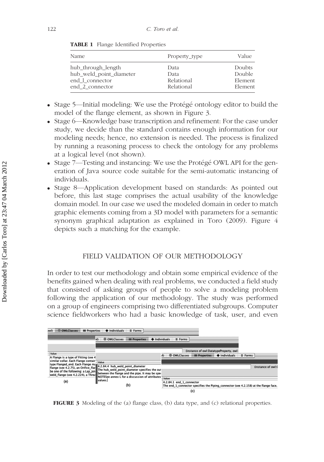| Name                    | Property_type | Value   |  |
|-------------------------|---------------|---------|--|
| hub_through_length      | Data          | Doubts  |  |
| hub_weld_point_diameter | Data          | Double  |  |
| end 1 connector         | Relational    | Element |  |
| end 2 connector         | Relational    | Element |  |

TABLE 1 Flange Identified Properties

- Stage 5—Initial modeling: We use the Protégé ontology editor to build the model of the flange element, as shown in Figure 3.
- . Stage 6—Knowledge base transcription and refinement: For the case under study, we decide than the standard contains enough information for our modeling needs; hence, no extension is needed. The process is finalized by running a reasoning process to check the ontology for any problems at a logical level (not shown).
- Stage 7—Testing and instancing: We use the Protégé OWL API for the generation of Java source code suitable for the semi-automatic instancing of individuals.
- . Stage 8—Application development based on standards: As pointed out before, this last stage comprises the actual usability of the knowledge domain model. In our case we used the modeled domain in order to match graphic elements coming from a 3D model with parameters for a semantic synonym graphical adaptation as explained in Toro (2009). Figure 4 depicts such a matching for the example.

### FIELD VALIDATION OF OUR METHODOLOGY

In order to test our methodology and obtain some empirical evidence of the benefits gained when dealing with real problems, we conducted a field study that consisted of asking groups of people to solve a modeling problem following the application of our methodology. The study was performed on a group of engineers comprising two differentiated subgroups. Computer science fieldworkers who had a basic knowledge of task, user, and even



FIGURE 3 Modeling of the (a) flange class, (b) data type, and (c) relational properties.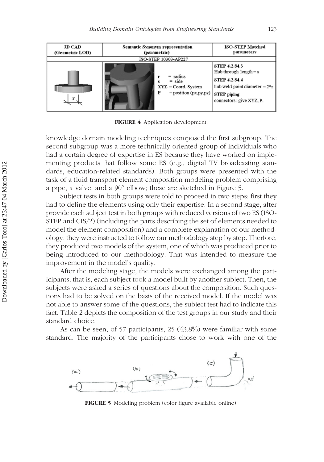

FIGURE 4 Application development.

knowledge domain modeling techniques composed the first subgroup. The second subgroup was a more technically oriented group of individuals who had a certain degree of expertise in ES because they have worked on implementing products that follow some ES (e.g., digital TV broadcasting standards, education-related standards). Both groups were presented with the task of a fluid transport element composition modeling problem comprising a pipe, a valve, and a  $90^{\circ}$  elbow; these are sketched in Figure 5.

Subject tests in both groups were told to proceed in two steps: first they had to define the elements using only their expertise. In a second stage, after provide each subject test in both groups with reduced versions of two ES (ISO-STEP and CIS/2) (including the parts describing the set of elements needed to model the element composition) and a complete explanation of our methodology, they were instructed to follow our methodology step by step. Therfore, they produced two models of the system, one of which was produced prior to being introduced to our methodology. That was intended to measure the improvement in the model's quality.

After the modeling stage, the models were exchanged among the participants; that is, each subject took a model built by another subject. Then, the subjects were asked a series of questions about the composition. Such questions had to be solved on the basis of the received model. If the model was not able to answer some of the questions, the subject test had to indicate this fact. Table 2 depicts the composition of the test groups in our study and their standard choice.

As can be seen, of 57 participants, 25 (43.8%) were familiar with some standard. The majority of the participants chose to work with one of the



FIGURE 5 Modeling problem (color figure available online).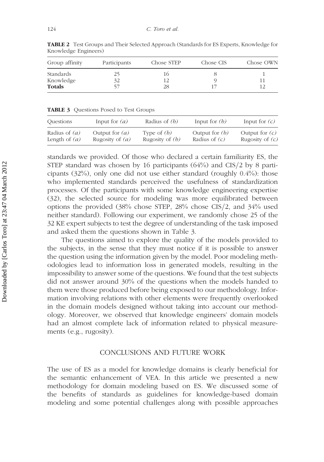| Group affinity | Participants | Chose STEP | Chose CIS | Chose OWN |
|----------------|--------------|------------|-----------|-----------|
| Standards      | רג           |            |           |           |
| Knowledge      | 32           |            |           |           |
| <b>Totals</b>  |              | 28         |           |           |

TABLE 2 Test Groups and Their Selected Approach (Standards for ES Experts, Knowledge for Knowledge Engineers)

TABLE 3 Questions Posed to Test Groups

| Questions       | Input for $(a)$   | Radius of $(b)$   | Input for $(b)$  | Input for $(c)$   |
|-----------------|-------------------|-------------------|------------------|-------------------|
| Radius of $(a)$ | Output for $(a)$  | Type of $(b)$     | Output for $(b)$ | Output for $(c)$  |
| Length of $(a)$ | Rugosity of $(a)$ | Rugosity of $(b)$ | Radius of $(c)$  | Rugosity of $(c)$ |

standards we provided. Of those who declared a certain familiarity ES, the STEP standard was chosen by 16 participants  $(64%)$  and CIS/2 by 8 participants (32%), only one did not use either standard (roughly 0.4%): those who implemented standards perceived the usefulness of standardization processes. Of the participants with some knowledge engineering expertise (32), the selected source for modeling was more equilibrated between options the provided  $(38\%$  chose STEP,  $28\%$  chose CIS/2, and  $34\%$  used neither standard). Following our experiment, we randomly chose 25 of the 32 KE expert subjects to test the degree of understanding of the task imposed and asked them the questions shown in Table 3.

The questions aimed to explore the quality of the models provided to the subjects, in the sense that they must notice if it is possible to answer the question using the information given by the model. Poor modeling methodologies lead to information loss in generated models, resulting in the impossibility to answer some of the questions. We found that the test subjects did not answer around 30% of the questions when the models handed to them were those produced before being exposed to our methodology. Information involving relations with other elements were frequently overlooked in the domain models designed without taking into account our methodology. Moreover, we observed that knowledge engineers' domain models had an almost complete lack of information related to physical measurements (e.g., rugosity).

#### CONCLUSIONS AND FUTURE WORK

The use of ES as a model for knowledge domains is clearly beneficial for the semantic enhancement of VEA. In this article we presented a new methodology for domain modeling based on ES. We discussed some of the benefits of standards as guidelines for knowledge-based domain modeling and some potential challenges along with possible approaches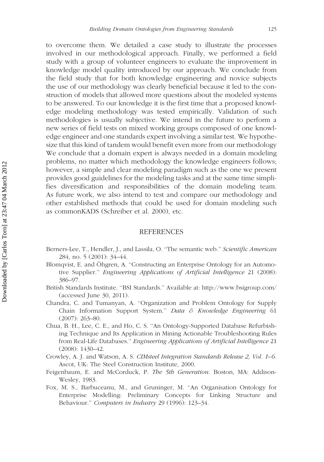to overcome them. We detailed a case study to illustrate the processes involved in our methodological approach. Finally, we performed a field study with a group of volunteer engineers to evaluate the improvement in knowledge model quality introduced by our approach. We conclude from the field study that for both knowledge engineering and novice subjects the use of our methodology was clearly beneficial because it led to the construction of models that allowed more questions about the modeled systems to be answered. To our knowledge it is the first time that a proposed knowledge modeling methodology was tested empirically. Validation of such methodologies is usually subjective. We intend in the future to perform a new series of field tests on mixed working groups composed of one knowledge engineer and one standards expert involving a similar test. We hypothesize that this kind of tandem would benefit even more from our methodology We conclude that a domain expert is always needed in a domain modeling problems, no matter which methodology the knowledge engineers follows; however, a simple and clear modeling paradigm such as the one we present provides good guidelines for the modeling tasks and at the same time simplifies diversification and responsibilities of the domain modeling team. As future work, we also intend to test and compare our methodology and other established methods that could be used for domain modeling such as commonKADS (Schreiber et al. 2000), etc.

#### REFERENCES

- Berners-Lee, T., Hendler, J., and Lassila, O. "The semantic web." Scientific American 284, no. 5 (2001): 34–44.
- Blomqvist, E. and Öhgren, A. "Constructing an Enterprise Ontology for an Automotive Supplier.'' Engineering Applications of Artificial Intelligence 21 (2008): 386–97.
- British Standards Institute. ''BSI Standards.'' Available at: http://www.bsigroup.com/ (accessed June 30, 2011).
- Chandra, C. and Tumanyan, A. ''Organization and Problem Ontology for Supply Chain Information Support System.'' Data & Knowledge Engineering 61 (2007): 263–80.
- Chua, B. H., Lee, C. E., and Ho, C. S. ''An Ontology-Supported Database Refurbishing Technique and Its Application in Mining Actionable Troubleshooting Rules from Real-Life Databases.'' Engineering Applications of Artificial Intelligence 21 (2008): 1430–42.
- Crowley, A. J. and Watson, A. S. CIMsteel Integration Standards Release 2, Vol. 1–6. Ascot, UK: The Steel Construction Institute, 2000.
- Feigenbaum, E. and McCorduck, P. The 5th Generation. Boston, MA: Addison-Wesley, 1983.
- Fox, M. S., Barbuceanu, M., and Gruninger, M. ''An Organisation Ontology for Enterprise Modelling: Preliminary Concepts for Linking Structure and Behaviour.'' Computers in Industry 29 (1996): 123–34.